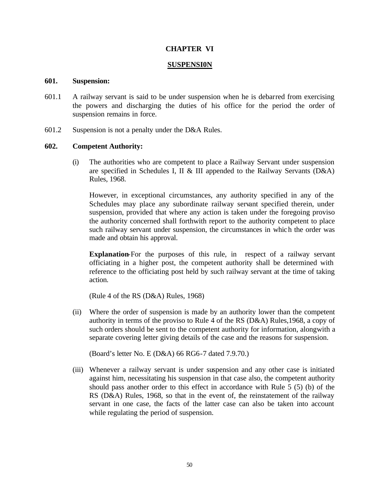# **CHAPTER VI**

#### **SUSPENSI0N**

#### **601. Suspension:**

- 601.1 A railway servant is said to be under suspension when he is debarred from exercising the powers and discharging the duties of his office for the period the order of suspension remains in force.
- 601.2 Suspension is not a penalty under the D&A Rules.

## **602. Competent Authority:**

(i) The authorities who are competent to place a Railway Servant under suspension are specified in Schedules I, II & III appended to the Railway Servants (D&A) Rules, 1968.

However, in exceptional circumstances, any authority specified in any of the Schedules may place any subordinate railway servant specified therein, under suspension, provided that where any action is taken under the foregoing proviso the authority concerned shall forthwith report to the authority competent to place such railway servant under suspension, the circumstances in which the order was made and obtain his approval.

**Explanation**-For the purposes of this rule, in respect of a railway servant officiating in a higher post, the competent authority shall be determined with reference to the officiating post held by such railway servant at the time of taking action.

(Rule 4 of the RS (D&A) Rules, 1968)

(ii) Where the order of suspension is made by an authority lower than the competent authority in terms of the proviso to Rule 4 of the RS (D&A) Rules,1968, a copy of such orders should be sent to the competent authority for information, alongwith a separate covering letter giving details of the case and the reasons for suspension.

(Board's letter No. E (D&A) 66 RG6-7 dated 7.9.70.)

(iii) Whenever a railway servant is under suspension and any other case is initiated against him, necessitating his suspension in that case also, the competent authority should pass another order to this effect in accordance with Rule 5 (5) (b) of the RS (D&A) Rules, 1968, so that in the event of, the reinstatement of the railway servant in one case, the facts of the latter case can also be taken into account while regulating the period of suspension.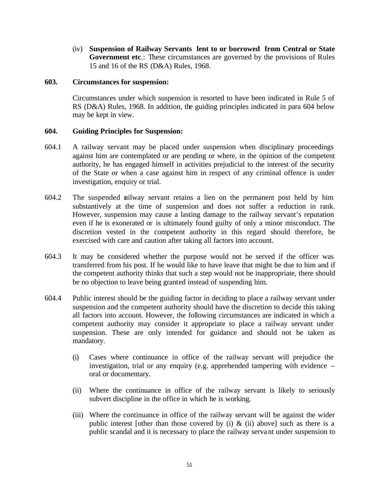(iv) **Suspension of Railway Servants lent to or borrowed from Central or State Government etc**.: These circumstances are governed by the provisions of Rules 15 and 16 of the RS (D&A) Rules, 1968.

## **603. Circumstances for suspension:**

Circumstances under which suspension is resorted to have been indicated in Rule 5 of RS (D&A) Rules, 1968. In addition, the guiding principles indicated in para 604 below may be kept in view.

# **604. Guiding Principles for Suspension:**

- 604.1 A railway servant may be placed under suspension when disciplinary proceedings against him are contemplated or are pending or where, in the opinion of the competent authority, he has engaged himself in activities prejudicial to the interest of the security of the State or when a case against him in respect of any criminal offence is under investigation, enquiry or trial.
- 604.2 The suspended railway servant retains a lien on the permanent post held by him substantively at the time of suspension and does not suffer a reduction in rank. However, suspension may cause a lasting damage to the railway servant's reputation even if he is exonerated or is ultimately found guilty of only a minor misconduct. The discretion vested in the competent authority in this regard should therefore, be exercised with care and caution after taking all factors into account.
- 604.3 It may be considered whether the purpose would not be served if the officer was transferred from his post. If he would like to have leave that might be due to him and if the competent authority thinks that such a step would not be inappropriate, there should be no objection to leave being granted instead of suspending him.
- 604.4 Public interest should be the guiding factor in deciding to place a railway servant under suspension and the competent authority should have the discretion to decide this taking all factors into account. However, the following circumstances are indicated in which a competent authority may consider it appropriate to place a railway servant under suspension. These are only intended for guidance and should not be taken as mandatory.
	- (i) Cases where continuance in office of the railway servant will prejudice the investigation, trial or any enquiry (e.g. apprehended tampering with evidence – oral or documentary.
	- (ii) Where the continuance in office of the railway servant is likely to seriously subvert discipline in the office in which he is working.
	- (iii) Where the continuance in office of the railway servant will be against the wider public interest [other than those covered by (i)  $\&$  (ii) above] such as there is a public scandal and it is necessary to place the railway servant under suspension to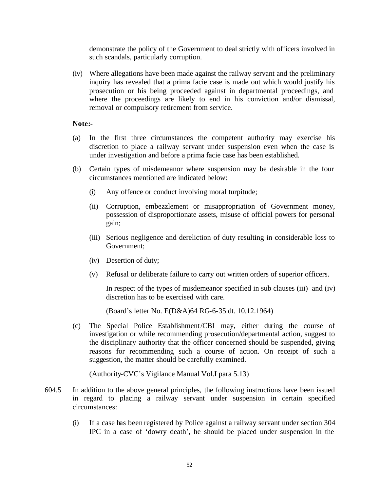demonstrate the policy of the Government to deal strictly with officers involved in such scandals, particularly corruption.

(iv) Where allegations have been made against the railway servant and the preliminary inquiry has revealed that a prima facie case is made out which would justify his prosecution or his being proceeded against in departmental proceedings, and where the proceedings are likely to end in his conviction and/or dismissal, removal or compulsory retirement from service.

## **Note:-**

- (a) In the first three circumstances the competent authority may exercise his discretion to place a railway servant under suspension even when the case is under investigation and before a prima facie case has been established.
- (b) Certain types of misdemeanor where suspension may be desirable in the four circumstances mentioned are indicated below:
	- (i) Any offence or conduct involving moral turpitude;
	- (ii) Corruption, embezzlement or misappropriation of Government money, possession of disproportionate assets, misuse of official powers for personal gain;
	- (iii) Serious negligence and dereliction of duty resulting in considerable loss to Government;
	- (iv) Desertion of duty;
	- (v) Refusal or deliberate failure to carry out written orders of superior officers.

In respect of the types of misdemeanor specified in sub clauses (iii) and (iv) discretion has to be exercised with care.

(Board's letter No. E(D&A)64 RG-6-35 dt. 10.12.1964)

(c) The Special Police Establishment/CBI may, either during the course of investigation or while recommending prosecution/departmental action, suggest to the disciplinary authority that the officer concerned should be suspended, giving reasons for recommending such a course of action. On receipt of such a suggestion, the matter should be carefully examined.

(Authority-CVC's Vigilance Manual Vol.I para 5.13)

- 604.5 In addition to the above general principles, the following instructions have been issued in regard to placing a railway servant under suspension in certain specified circumstances:
	- (i) If a case has been registered by Police against a railway servant under section 304 IPC in a case of 'dowry death', he should be placed under suspension in the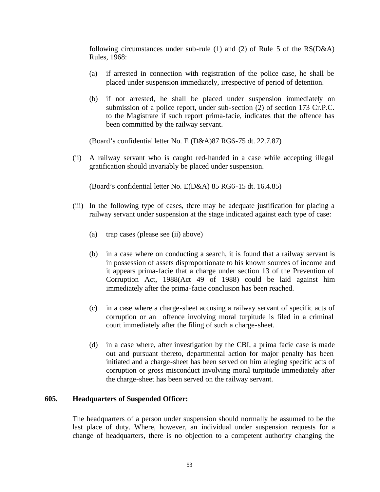following circumstances under sub-rule (1) and (2) of Rule 5 of the RS(D&A) Rules, 1968:

- (a) if arrested in connection with registration of the police case, he shall be placed under suspension immediately, irrespective of period of detention.
- (b) if not arrested, he shall be placed under suspension immediately on submission of a police report, under sub-section (2) of section 173 Cr.P.C. to the Magistrate if such report prima-facie, indicates that the offence has been committed by the railway servant.

(Board's confidential letter No. E (D&A)87 RG6-75 dt. 22.7.87)

(ii) A railway servant who is caught red-handed in a case while accepting illegal gratification should invariably be placed under suspension.

(Board's confidential letter No. E(D&A) 85 RG6-15 dt. 16.4.85)

- (iii) In the following type of cases, there may be adequate justification for placing a railway servant under suspension at the stage indicated against each type of case:
	- (a) trap cases (please see (ii) above)
	- (b) in a case where on conducting a search, it is found that a railway servant is in possession of assets disproportionate to his known sources of income and it appears prima-facie that a charge under section 13 of the Prevention of Corruption Act, 1988(Act 49 of 1988) could be laid against him immediately after the prima-facie conclusion has been reached.
	- (c) in a case where a charge-sheet accusing a railway servant of specific acts of corruption or an offence involving moral turpitude is filed in a criminal court immediately after the filing of such a charge-sheet.
	- (d) in a case where, after investigation by the CBI, a prima facie case is made out and pursuant thereto, departmental action for major penalty has been initiated and a charge-sheet has been served on him alleging specific acts of corruption or gross misconduct involving moral turpitude immediately after the charge-sheet has been served on the railway servant.

# **605. Headquarters of Suspended Officer:**

The headquarters of a person under suspension should normally be assumed to be the last place of duty. Where, however, an individual under suspension requests for a change of headquarters, there is no objection to a competent authority changing the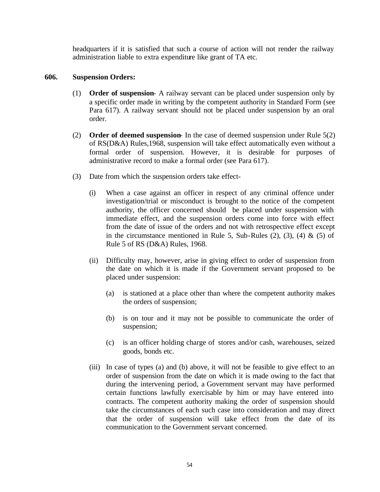headquarters if it is satisfied that such a course of action will not render the railway administration liable to extra expenditure like grant of TA etc.

# **606. Suspension Orders:**

- (1) **Order of suspension** A railway servant can be placed under suspension only by a specific order made in writing by the competent authority in Standard Form (see Para 617). A railway servant should not be placed under suspension by an oral order.
- (2) **Order of deemed suspension** In the case of deemed suspension under Rule 5(2) of RS(D&A) Rules,1968, suspension will take effect automatically even without a formal order of suspension. However, it is desirable for purposes of administrative record to make a formal order (see Para 617).
- (3) Date from which the suspension orders take effect-
	- (i) When a case against an officer in respect of any criminal offence under investigation/trial or misconduct is brought to the notice of the competent authority, the officer concerned should be placed under suspension with immediate effect, and the suspension orders come into force with effect from the date of issue of the orders and not with retrospective effect except in the circumstance mentioned in Rule 5, Sub-Rules  $(2)$ ,  $(3)$ ,  $(4)$  &  $(5)$  of Rule 5 of RS (D&A) Rules, 1968.
	- (ii) Difficulty may, however, arise in giving effect to order of suspension from the date on which it is made if the Government servant proposed to be placed under suspension:
		- (a) is stationed at a place other than where the competent authority makes the orders of suspension;
		- (b) is on tour and it may not be possible to communicate the order of suspension;
		- (c) is an officer holding charge of stores and/or cash, warehouses, seized goods, bonds etc.
	- (iii) In case of types (a) and (b) above, it will not be feasible to give effect to an order of suspension from the date on which it is made owing to the fact that during the intervening period, a Government servant may have performed certain functions lawfully exercisable by him or may have entered into contracts. The competent authority making the order of suspension should take the circumstances of each such case into consideration and may direct that the order of suspension will take effect from the date of its communication to the Government servant concerned.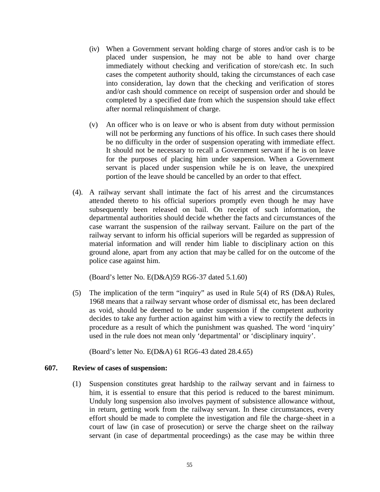- (iv) When a Government servant holding charge of stores and/or cash is to be placed under suspension, he may not be able to hand over charge immediately without checking and verification of store/cash etc. In such cases the competent authority should, taking the circumstances of each case into consideration, lay down that the checking and verification of stores and/or cash should commence on receipt of suspension order and should be completed by a specified date from which the suspension should take effect after normal relinquishment of charge.
- (v) An officer who is on leave or who is absent from duty without permission will not be performing any functions of his office. In such cases there should be no difficulty in the order of suspension operating with immediate effect. It should not be necessary to recall a Government servant if he is on leave for the purposes of placing him under suspension. When a Government servant is placed under suspension while he is on leave, the unexpired portion of the leave should be cancelled by an order to that effect.
- (4). A railway servant shall intimate the fact of his arrest and the circumstances attended thereto to his official superiors promptly even though he may have subsequently been released on bail. On receipt of such information, the departmental authorities should decide whether the facts and circumstances of the case warrant the suspension of the railway servant. Failure on the part of the railway servant to inform his official superiors will be regarded as suppression of material information and will render him liable to disciplinary action on this ground alone, apart from any action that may be called for on the outcome of the police case against him.

(Board's letter No. E(D&A)59 RG6-37 dated 5.1.60)

(5) The implication of the term "inquiry" as used in Rule  $5(4)$  of RS (D&A) Rules, 1968 means that a railway servant whose order of dismissal etc, has been declared as void, should be deemed to be under suspension if the competent authority decides to take any further action against him with a view to rectify the defects in procedure as a result of which the punishment was quashed. The word 'inquiry' used in the rule does not mean only 'departmental' or 'disciplinary inquiry'.

(Board's letter No. E(D&A) 61 RG6-43 dated 28.4.65)

# **607. Review of cases of suspension:**

(1) Suspension constitutes great hardship to the railway servant and in fairness to him, it is essential to ensure that this period is reduced to the barest minimum. Unduly long suspension also involves payment of subsistence allowance without, in return, getting work from the railway servant. In these circumstances, every effort should be made to complete the investigation and file the charge-sheet in a court of law (in case of prosecution) or serve the charge sheet on the railway servant (in case of departmental proceedings) as the case may be within three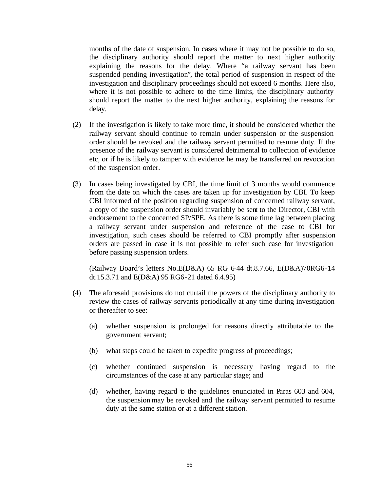months of the date of suspension. In cases where it may not be possible to do so, the disciplinary authority should report the matter to next higher authority explaining the reasons for the delay. Where "a railway servant has been suspended pending investigation", the total period of suspension in respect of the investigation and disciplinary proceedings should not exceed 6 months. Here also, where it is not possible to adhere to the time limits, the disciplinary authority should report the matter to the next higher authority, explaining the reasons for delay.

- (2) If the investigation is likely to take more time, it should be considered whether the railway servant should continue to remain under suspension or the suspension order should be revoked and the railway servant permitted to resume duty. If the presence of the railway servant is considered detrimental to collection of evidence etc, or if he is likely to tamper with evidence he may be transferred on revocation of the suspension order.
- (3) In cases being investigated by CBI, the time limit of 3 months would commence from the date on which the cases are taken up for investigation by CBI. To keep CBI informed of the position regarding suspension of concerned railway servant, a copy of the suspension order should invariably be sent to the Director, CBI with endorsement to the concerned SP/SPE. As there is some time lag between placing a railway servant under suspension and reference of the case to CBI for investigation, such cases should be referred to CBI promptly after suspension orders are passed in case it is not possible to refer such case for investigation before passing suspension orders.

(Railway Board's letters No.E(D&A) 65 RG 6-44 dt.8.7.66, E(D&A)70RG6-14 dt.15.3.71 and E(D&A) 95 RG6-21 dated 6.4.95)

- (4) The aforesaid provisions do not curtail the powers of the disciplinary authority to review the cases of railway servants periodically at any time during investigation or thereafter to see:
	- (a) whether suspension is prolonged for reasons directly attributable to the government servant;
	- (b) what steps could be taken to expedite progress of proceedings;
	- (c) whether continued suspension is necessary having regard to the circumstances of the case at any particular stage; and
	- (d) whether, having regard to the guidelines enunciated in Paras 603 and 604, the suspension may be revoked and the railway servant permitted to resume duty at the same station or at a different station.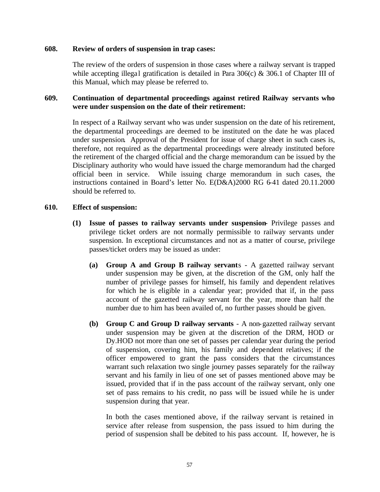## **608. Review of orders of suspension in trap cases:**

The review of the orders of suspension in those cases where a railway servant is trapped while accepting illegal gratification is detailed in Para  $306(c)$  &  $306.1$  of Chapter III of this Manual, which may please be referred to.

# **609. Continuation of departmental proceedings against retired Railway servants who were under suspension on the date of their retirement:**

In respect of a Railway servant who was under suspension on the date of his retirement, the departmental proceedings are deemed to be instituted on the date he was placed under suspension. Approval of the President for issue of charge sheet in such cases is, therefore, not required as the departmental proceedings were already instituted before the retirement of the charged official and the charge memorandum can be issued by the Disciplinary authority who would have issued the charge memorandum had the charged official been in service. While issuing charge memorandum in such cases, the instructions contained in Board's letter No. E(D&A)2000 RG 6-41 dated 20.11.2000 should be referred to.

#### **610. Effect of suspension:**

- **(1) Issue of passes to railway servants under suspension-** Privilege passes and privilege ticket orders are not normally permissible to railway servants under suspension. In exceptional circumstances and not as a matter of course, privilege passes/ticket orders may be issued as under:
	- **(a) Group A and Group B railway servant**s A gazetted railway servant under suspension may be given, at the discretion of the GM, only half the number of privilege passes for himself, his family and dependent relatives for which he is eligible in a calendar year; provided that if, in the pass account of the gazetted railway servant for the year, more than half the number due to him has been availed of, no further passes should be given.
	- **(b) Group C and Group D railway servants** A non-gazetted railway servant under suspension may be given at the discretion of the DRM, HOD or Dy.HOD not more than one set of passes per calendar year during the period of suspension, covering him, his family and dependent relatives; if the officer empowered to grant the pass considers that the circumstances warrant such relaxation two single journey passes separately for the railway servant and his family in lieu of one set of passes mentioned above may be issued, provided that if in the pass account of the railway servant, only one set of pass remains to his credit, no pass will be issued while he is under suspension during that year.

In both the cases mentioned above, if the railway servant is retained in service after release from suspension, the pass issued to him during the period of suspension shall be debited to his pass account. If, however, he is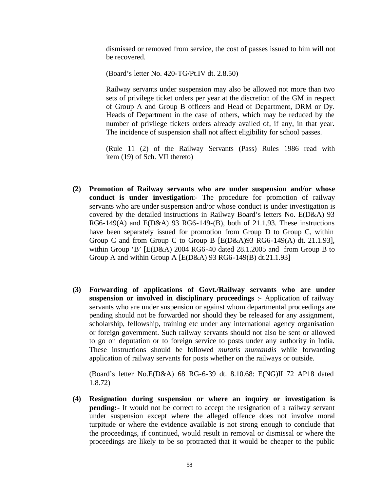dismissed or removed from service, the cost of passes issued to him will not be recovered.

(Board's letter No. 420-TG/Pt.IV dt. 2.8.50)

Railway servants under suspension may also be allowed not more than two sets of privilege ticket orders per year at the discretion of the GM in respect of Group A and Group B officers and Head of Department, DRM or Dy. Heads of Department in the case of others, which may be reduced by the number of privilege tickets orders already availed of, if any, in that year. The incidence of suspension shall not affect eligibility for school passes.

(Rule 11 (2) of the Railway Servants (Pass) Rules 1986 read with item (19) of Sch. VII thereto)

- **(2) Promotion of Railway servants who are under suspension and/or whose conduct is under investigation**:- The procedure for promotion of railway servants who are under suspension and/or whose conduct is under investigation is covered by the detailed instructions in Railway Board's letters No. E(D&A) 93 RG6-149(A) and E(D&A) 93 RG6-149-(B), both of 21.1.93. These instructions have been separately issued for promotion from Group D to Group C, within Group C and from Group C to Group B [E(D&A)93 RG6-149(A) dt. 21.1.93], within Group 'B' [E(D&A) 2004 RG6-40 dated 28.1.2005 and from Group B to Group A and within Group A  $[E(D&A) 93 RG6-149(B) dt.21.1.93]$
- **(3) Forwarding of applications of Govt./Railway servants who are under suspension or involved in disciplinary proceedings** :- Application of railway servants who are under suspension or against whom departmental proceedings are pending should not be forwarded nor should they be released for any assignment, scholarship, fellowship, training etc under any international agency organisation or foreign government. Such railway servants should not also be sent or allowed to go on deputation or to foreign service to posts under any authority in India. These instructions should be followed *mutatis muntandis* while forwarding application of railway servants for posts whether on the railways or outside.

(Board's letter No.E(D&A) 68 RG-6-39 dt. 8.10.68: E(NG)II 72 AP18 dated 1.8.72)

**(4) Resignation during suspension or where an inquiry or investigation is pending:** It would not be correct to accept the resignation of a railway servant under suspension except where the alleged offence does not involve moral turpitude or where the evidence available is not strong enough to conclude that the proceedings, if continued, would result in removal or dismissal or where the proceedings are likely to be so protracted that it would be cheaper to the public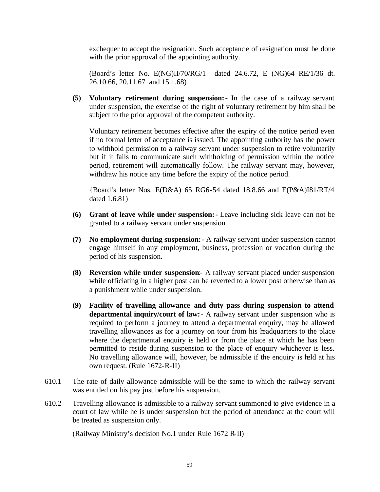exchequer to accept the resignation. Such acceptanc e of resignation must be done with the prior approval of the appointing authority.

(Board's letter No. E(NG)II/70/RG/1 dated 24.6.72, E (NG)64 RE/1/36 dt. 26.10.66, 20.11.67 and 15.1.68)

**(5) Voluntary retirement during suspension:-** In the case of a railway servant under suspension, the exercise of the right of voluntary retirement by him shall be subject to the prior approval of the competent authority.

Voluntary retirement becomes effective after the expiry of the notice period even if no formal letter of acceptance is issued. The appointing authority has the power to withhold permission to a railway servant under suspension to retire voluntarily but if it fails to communicate such withholding of permission within the notice period, retirement will automatically follow. The railway servant may, however, withdraw his notice any time before the expiry of the notice period.

{Board's letter Nos. E(D&A) 65 RG6-54 dated 18.8.66 and E(P&A)I81/RT/4 dated 1.6.81)

- **(6) Grant of leave while under suspension:-** Leave including sick leave can not be granted to a railway servant under suspension.
- **(7) No employment during suspension:-** A railway servant under suspension cannot engage himself in any employment, business, profession or vocation during the period of his suspension.
- **(8) Reversion while under suspension**:- A railway servant placed under suspension while officiating in a higher post can be reverted to a lower post otherwise than as a punishment while under suspension.
- **(9) Facility of travelling allowance and duty pass during suspension to attend departmental inquiry/court of law:-** A railway servant under suspension who is required to perform a journey to attend a departmental enquiry, may be allowed travelling allowances as for a journey on tour from his headquarters to the place where the departmental enquiry is held or from the place at which he has been permitted to reside during suspension to the place of enquiry whichever is less. No travelling allowance will, however, be admissible if the enquiry is held at his own request. (Rule 1672-R-II)
- 610.1 The rate of daily allowance admissible will be the same to which the railway servant was entitled on his pay just before his suspension.
- 610.2 Travelling allowance is admissible to a railway servant summoned to give evidence in a court of law while he is under suspension but the period of attendance at the court will be treated as suspension only.

(Railway Ministry's decision No.1 under Rule 1672 R-II)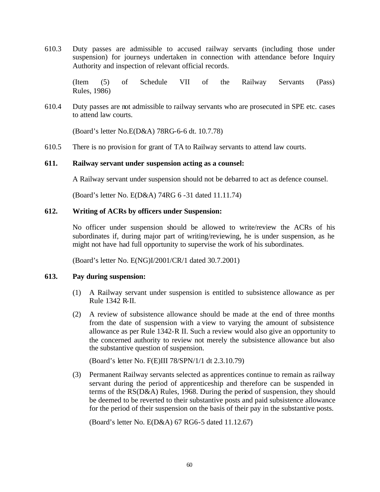610.3 Duty passes are admissible to accused railway servants (including those under suspension) for journeys undertaken in connection with attendance before Inquiry Authority and inspection of relevant official records.

(Item (5) of Schedule VII of the Railway Servants (Pass) Rules, 1986)

610.4 Duty passes are not admissible to railway servants who are prosecuted in SPE etc. cases to attend law courts.

(Board's letter No.E(D&A) 78RG-6-6 dt. 10.7.78)

610.5 There is no provision for grant of TA to Railway servants to attend law courts.

#### **611. Railway servant under suspension acting as a counsel:**

A Railway servant under suspension should not be debarred to act as defence counsel.

(Board's letter No. E(D&A) 74RG 6 -31 dated 11.11.74)

## **612. Writing of ACRs by officers under Suspension:**

No officer under suspension should be allowed to write/review the ACRs of his subordinates if, during major part of writing/reviewing, he is under suspension, as he might not have had full opportunity to supervise the work of his subordinates.

(Board's letter No. E(NG)I/2001/CR/1 dated 30.7.2001)

# **613. Pay during suspension:**

- (1) A Railway servant under suspension is entitled to subsistence allowance as per Rule 1342 R-II.
- (2) A review of subsistence allowance should be made at the end of three months from the date of suspension with a view to varying the amount of subsistence allowance as per Rule 1342-R II. Such a review would also give an opportunity to the concerned authority to review not merely the subsistence allowance but also the substantive question of suspension.

(Board's letter No. F(E)III 78/SPN/1/1 dt 2.3.10.79)

(3) Permanent Railway servants selected as apprentices continue to remain as railway servant during the period of apprenticeship and therefore can be suspended in terms of the RS(D&A) Rules, 1968. During the period of suspension, they should be deemed to be reverted to their substantive posts and paid subsistence allowance for the period of their suspension on the basis of their pay in the substantive posts.

(Board's letter No. E(D&A) 67 RG6-5 dated 11.12.67)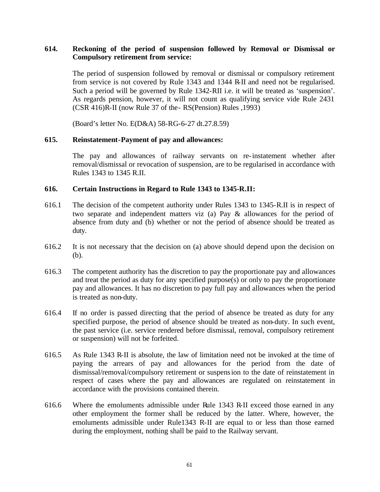# **614. Reckoning of the period of suspension followed by Removal or Dismissal or Compulsory retirement from service:**

The period of suspension followed by removal or dismissal or compulsory retirement from service is not covered by Rule 1343 and 1344 R-II and need not be regularised. Such a period will be governed by Rule 1342-RII i.e. it will be treated as 'suspension'. As regards pension, however, it will not count as qualifying service vide Rule 2431 (CSR 416)R-II (now Rule 37 of the- RS(Pension) Rules ,1993)

(Board's letter No. E(D&A) 58-RG-6-27 dt.27.8.59)

# **615. Reinstatement-Payment of pay and allowances:**

The pay and allowances of railway servants on re-instatement whether after removal/dismissal or revocation of suspension, are to be regularised in accordance with Rules 1343 to 1345 R.II.

## **616. Certain Instructions in Regard to Rule 1343 to 1345-R.II:**

- 616.1 The decision of the competent authority under Rules 1343 to 1345-R.II is in respect of two separate and independent matters viz (a) Pay & allowances for the period of absence from duty and (b) whether or not the period of absence should be treated as duty.
- 616.2 It is not necessary that the decision on (a) above should depend upon the decision on (b).
- 616.3 The competent authority has the discretion to pay the proportionate pay and allowances and treat the period as duty for any specified purpose(s) or only to pay the proportionate pay and allowances. It has no discretion to pay full pay and allowances when the period is treated as non-duty.
- 616.4 If no order is passed directing that the period of absence be treated as duty for any specified purpose, the period of absence should be treated as non-duty. In such event, the past service (i.e. service rendered before dismissal, removal, compulsory retirement or suspension) will not be forfeited.
- 616.5 As Rule 1343 R-II is absolute, the law of limitation need not be invoked at the time of paying the arrears of pay and allowances for the period from the date of dismissal/removal/compulsory retirement or suspension to the date of reinstatement in respect of cases where the pay and allowances are regulated on reinstatement in accordance with the provisions contained therein.
- 616.6 Where the emoluments admissible under Rule 1343 R-II exceed those earned in any other employment the former shall be reduced by the latter. Where, however, the emoluments admissible under Rule1343 R-II are equal to or less than those earned during the employment, nothing shall be paid to the Railway servant.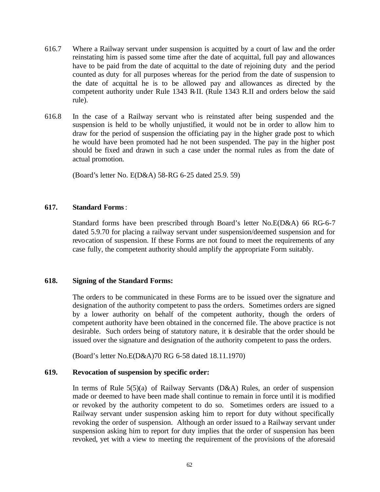- 616.7 Where a Railway servant under suspension is acquitted by a court of law and the order reinstating him is passed some time after the date of acquittal, full pay and allowances have to be paid from the date of acquittal to the date of rejoining duty and the period counted as duty for all purposes whereas for the period from the date of suspension to the date of acquittal he is to be allowed pay and allowances as directed by the competent authority under Rule 1343 R-II. (Rule 1343 R.II and orders below the said rule).
- 616.8 In the case of a Railway servant who is reinstated after being suspended and the suspension is held to be wholly unjustified, it would not be in order to allow him to draw for the period of suspension the officiating pay in the higher grade post to which he would have been promoted had he not been suspended. The pay in the higher post should be fixed and drawn in such a case under the normal rules as from the date of actual promotion.

(Board's letter No. E(D&A) 58-RG 6-25 dated 25.9. 59)

## **617. Standard Forms**:

Standard forms have been prescribed through Board's letter No.E(D&A) 66 RG-6-7 dated 5.9.70 for placing a railway servant under suspension/deemed suspension and for revocation of suspension. If these Forms are not found to meet the requirements of any case fully, the competent authority should amplify the appropriate Form suitably.

# **618. Signing of the Standard Forms:**

The orders to be communicated in these Forms are to be issued over the signature and designation of the authority competent to pass the orders. Sometimes orders are signed by a lower authority on behalf of the competent authority, though the orders of competent authority have been obtained in the concerned file. The above practice is not desirable. Such orders being of statutory nature, it is desirable that the order should be issued over the signature and designation of the authority competent to pass the orders.

(Board's letter No.E(D&A)70 RG 6-58 dated 18.11.1970)

# **619. Revocation of suspension by specific order:**

In terms of Rule 5(5)(a) of Railway Servants (D&A) Rules, an order of suspension made or deemed to have been made shall continue to remain in force until it is modified or revoked by the authority competent to do so. Sometimes orders are issued to a Railway servant under suspension asking him to report for duty without specifically revoking the order of suspension. Although an order issued to a Railway servant under suspension asking him to report for duty implies that the order of suspension has been revoked, yet with a view to meeting the requirement of the provisions of the aforesaid